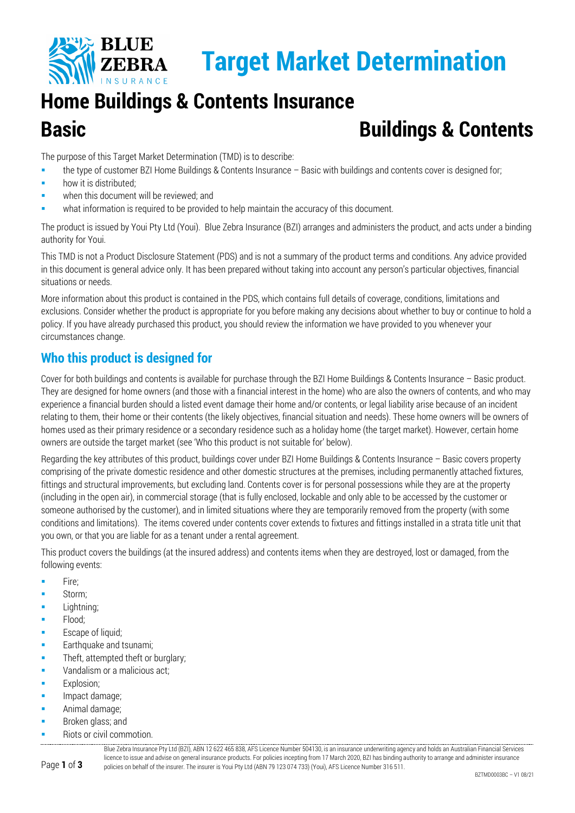

# **Home Buildings & Contents Insurance Basic Buildings & Contents**

The purpose of this Target Market Determination (TMD) is to describe:

- the type of customer BZI Home Buildings & Contents Insurance Basic with buildings and contents cover is designed for;
- how it is distributed;
- when this document will be reviewed; and
- what information is required to be provided to help maintain the accuracy of this document.

The product is issued by Youi Pty Ltd (Youi). Blue Zebra Insurance (BZI) arranges and administers the product, and acts under a binding authority for Youi.

This TMD is not a Product Disclosure Statement (PDS) and is not a summary of the product terms and conditions. Any advice provided in this document is general advice only. It has been prepared without taking into account any person's particular objectives, financial situations or needs.

More information about this product is contained in the PDS, which contains full details of coverage, conditions, limitations and exclusions. Consider whether the product is appropriate for you before making any decisions about whether to buy or continue to hold a policy. If you have already purchased this product, you should review the information we have provided to you whenever your circumstances change.

# **Who this product is designed for**

Cover for both buildings and contents is available for purchase through the BZI Home Buildings & Contents Insurance – Basic product. They are designed for home owners (and those with a financial interest in the home) who are also the owners of contents, and who may experience a financial burden should a listed event damage their home and/or contents, or legal liability arise because of an incident relating to them, their home or their contents (the likely objectives, financial situation and needs). These home owners will be owners of homes used as their primary residence or a secondary residence such as a holiday home (the target market). However, certain home owners are outside the target market (see 'Who this product is not suitable for' below).

Regarding the key attributes of this product, buildings cover under BZI Home Buildings & Contents Insurance – Basic covers property comprising of the private domestic residence and other domestic structures at the premises, including permanently attached fixtures, fittings and structural improvements, but excluding land. Contents cover is for personal possessions while they are at the property (including in the open air), in commercial storage (that is fully enclosed, lockable and only able to be accessed by the customer or someone authorised by the customer), and in limited situations where they are temporarily removed from the property (with some conditions and limitations). The items covered under contents cover extends to fixtures and fittings installed in a strata title unit that you own, or that you are liable for as a tenant under a rental agreement.

This product covers the buildings (at the insured address) and contents items when they are destroyed, lost or damaged, from the following events:

- $Fire:$
- Storm;
- Lightning;
- **Flood:**
- Escape of liquid:
- Earthquake and tsunami;
- **Theft, attempted theft or burglary;**
- Vandalism or a malicious act;
- Explosion;
- Impact damage;
- Animal damage;
- Broken glass; and
- Riots or civil commotion.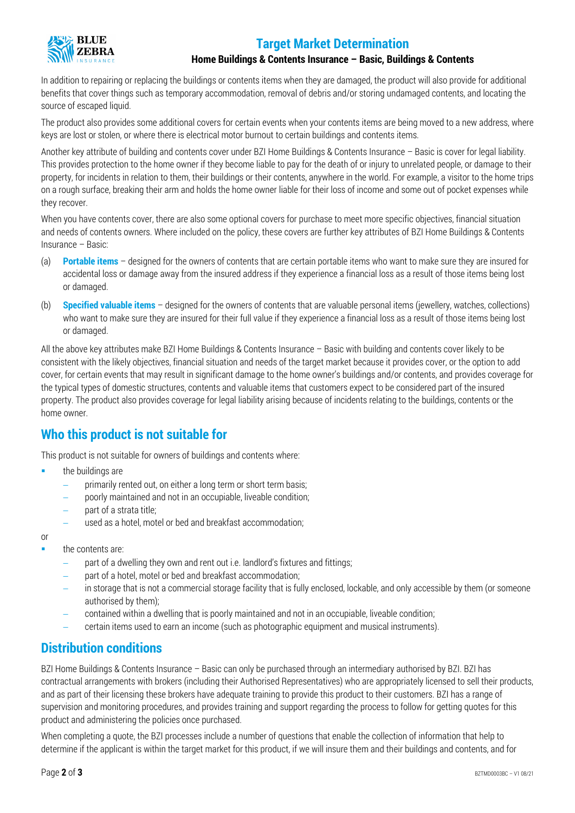# **Target Market Determination**



#### **Home Buildings & Contents Insurance – Basic, Buildings & Contents**

In addition to repairing or replacing the buildings or contents items when they are damaged, the product will also provide for additional benefits that cover things such as temporary accommodation, removal of debris and/or storing undamaged contents, and locating the source of escaped liquid.

The product also provides some additional covers for certain events when your contents items are being moved to a new address, where keys are lost or stolen, or where there is electrical motor burnout to certain buildings and contents items.

Another key attribute of building and contents cover under BZI Home Buildings & Contents Insurance – Basic is cover for legal liability. This provides protection to the home owner if they become liable to pay for the death of or injury to unrelated people, or damage to their property, for incidents in relation to them, their buildings or their contents, anywhere in the world. For example, a visitor to the home trips on a rough surface, breaking their arm and holds the home owner liable for their loss of income and some out of pocket expenses while they recover.

When you have contents cover, there are also some optional covers for purchase to meet more specific objectives, financial situation and needs of contents owners. Where included on the policy, these covers are further key attributes of BZI Home Buildings & Contents Insurance – Basic:

- (a) **Portable items** designed for the owners of contents that are certain portable items who want to make sure they are insured for accidental loss or damage away from the insured address if they experience a financial loss as a result of those items being lost or damaged.
- (b) **Specified valuable items** designed for the owners of contents that are valuable personal items (jewellery, watches, collections) who want to make sure they are insured for their full value if they experience a financial loss as a result of those items being lost or damaged.

All the above key attributes make BZI Home Buildings & Contents Insurance – Basic with building and contents cover likely to be consistent with the likely objectives, financial situation and needs of the target market because it provides cover, or the option to add cover, for certain events that may result in significant damage to the home owner's buildings and/or contents, and provides coverage for the typical types of domestic structures, contents and valuable items that customers expect to be considered part of the insured property. The product also provides coverage for legal liability arising because of incidents relating to the buildings, contents or the home owner.

### **Who this product is not suitable for**

This product is not suitable for owners of buildings and contents where:

- the buildings are
	- − primarily rented out, on either a long term or short term basis;
	- poorly maintained and not in an occupiable, liveable condition;
	- part of a strata title;
	- used as a hotel, motel or bed and breakfast accommodation;

or

- the contents are:
	- part of a dwelling they own and rent out i.e. landlord's fixtures and fittings;
	- part of a hotel, motel or bed and breakfast accommodation;
	- − in storage that is not a commercial storage facility that is fully enclosed, lockable, and only accessible by them (or someone authorised by them);
	- − contained within a dwelling that is poorly maintained and not in an occupiable, liveable condition;
	- − certain items used to earn an income (such as photographic equipment and musical instruments).

# **Distribution conditions**

BZI Home Buildings & Contents Insurance – Basic can only be purchased through an intermediary authorised by BZI. BZI has contractual arrangements with brokers (including their Authorised Representatives) who are appropriately licensed to sell their products, and as part of their licensing these brokers have adequate training to provide this product to their customers. BZI has a range of supervision and monitoring procedures, and provides training and support regarding the process to follow for getting quotes for this product and administering the policies once purchased.

When completing a quote, the BZI processes include a number of questions that enable the collection of information that help to determine if the applicant is within the target market for this product, if we will insure them and their buildings and contents, and for